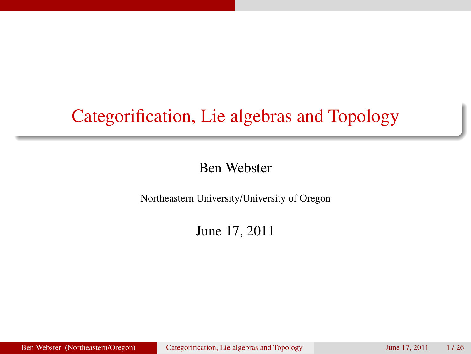# Categorification, Lie algebras and Topology

### Ben Webster

Northeastern University/University of Oregon

<span id="page-0-0"></span>June 17, 2011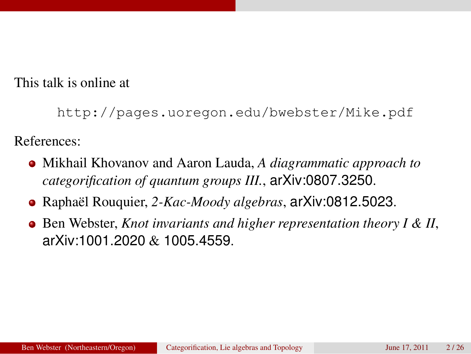This talk is online at

```
http://pages.uoregon.edu/bwebster/Mike.pdf
```
References:

- Mikhail Khovanov and Aaron Lauda, *A diagrammatic approach to categorification of quantum groups III.*, arXiv:0807.3250.
- Raphaël Rouquier, *2-Kac-Moody algebras*, arXiv:0812.5023.
- Ben Webster, *Knot invariants and higher representation theory I & II*, arXiv:1001.2020 & 1005.4559.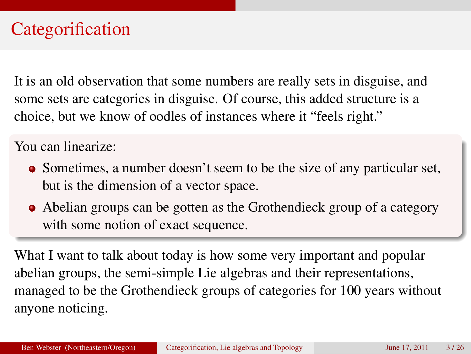# **Categorification**

It is an old observation that some numbers are really sets in disguise, and some sets are categories in disguise. Of course, this added structure is a choice, but we know of oodles of instances where it "feels right."

You can linearize:

- Sometimes, a number doesn't seem to be the size of any particular set, but is the dimension of a vector space.
- Abelian groups can be gotten as the Grothendieck group of a category with some notion of exact sequence.

What I want to talk about today is how some very important and popular abelian groups, the semi-simple Lie algebras and their representations, managed to be the Grothendieck groups of categories for 100 years without anyone noticing.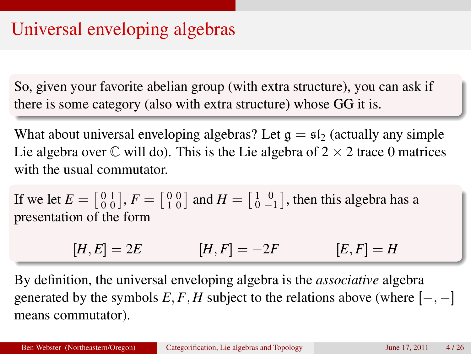# Universal enveloping algebras

So, given your favorite abelian group (with extra structure), you can ask if there is some category (also with extra structure) whose GG it is.

What about universal enveloping algebras? Let  $g = \frac{1}{2}$  (actually any simple Lie algebra over  $\mathbb C$  will do). This is the Lie algebra of  $2 \times 2$  trace 0 matrices with the usual commutator.

If we let  $E = \begin{bmatrix} 0 & 1 \\ 0 & 0 \end{bmatrix}$ ,  $F = \begin{bmatrix} 0 & 0 \\ 1 & 0 \end{bmatrix}$  and  $H = \begin{bmatrix} 1 & 0 \\ 0 & -1 \end{bmatrix}$ , then this algebra has a presentation of the form

$$
[H,E] = 2E \qquad [H,F] = -2F \qquad [E,F] = H
$$

By definition, the universal enveloping algebra is the *associative* algebra generated by the symbols  $E, F, H$  subject to the relations above (where  $[-, -]$ ) means commutator).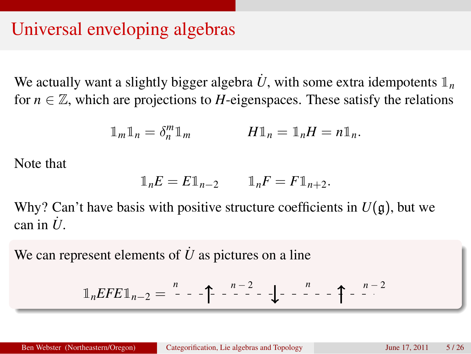# Universal enveloping algebras

We actually want a slightly bigger algebra  $U$ , with some extra idempotents  $\mathbb{1}_n$ for  $n \in \mathbb{Z}$ , which are projections to *H*-eigenspaces. These satisfy the relations

$$
\mathbb{1}_m \mathbb{1}_n = \delta_n^m \mathbb{1}_m \qquad \qquad H \mathbb{1}_n = \mathbb{1}_n H = n \mathbb{1}_n.
$$

Note that

$$
\mathbb{1}_n E = E \mathbb{1}_{n-2} \qquad \mathbb{1}_n F = F \mathbb{1}_{n+2}.
$$

Why? Can't have basis with positive structure coefficients in  $U(\mathfrak{g})$ , but we  $\cos$  in  $\dot{U}$ 

We can represent elements of  $\dot{U}$  as pictures on a line

$$
\mathbb{1}_nEFE1_{n-2} = \begin{array}{ccc} n & -1 \\ - & -1 \end{array} - 1 - \frac{n-2}{n-1} - \frac{n}{n-1} - \frac{n-2}{n-1}
$$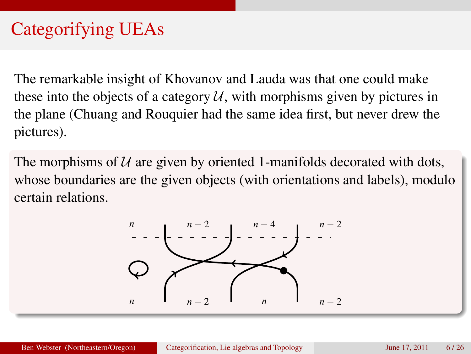The remarkable insight of Khovanov and Lauda was that one could make these into the objects of a category  $U$ , with morphisms given by pictures in the plane (Chuang and Rouquier had the same idea first, but never drew the pictures).

The morphisms of  $U$  are given by oriented 1-manifolds decorated with dots, whose boundaries are the given objects (with orientations and labels), modulo certain relations.

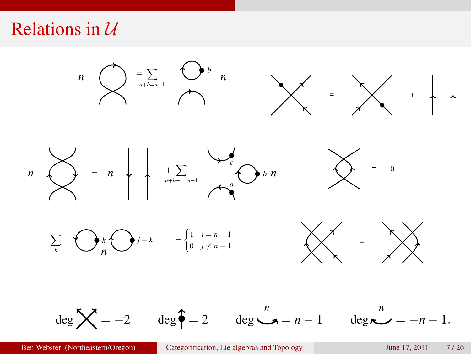### Relations in  $U$



Ben Webster (Northeastern/Oregon) [Categorification, Lie algebras and Topology](#page-0-0) June 17, 2011 7/26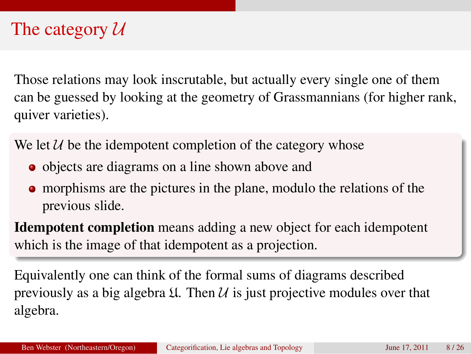# The category  $U$

Those relations may look inscrutable, but actually every single one of them can be guessed by looking at the geometry of Grassmannians (for higher rank, quiver varieties).

We let  $U$  be the idempotent completion of the category whose

- objects are diagrams on a line shown above and
- morphisms are the pictures in the plane, modulo the relations of the previous slide.

Idempotent completion means adding a new object for each idempotent which is the image of that idempotent as a projection.

Equivalently one can think of the formal sums of diagrams described previously as a big algebra  $\mathfrak U$ . Then  $\mathcal U$  is just projective modules over that algebra.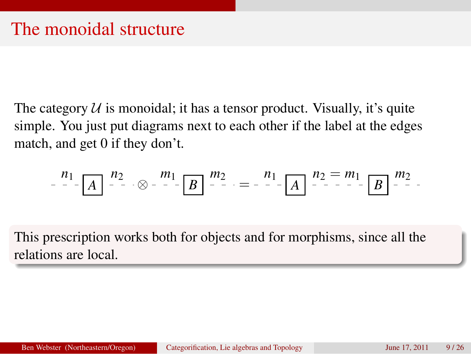The category  $U$  is monoidal; it has a tensor product. Visually, it's quite simple. You just put diagrams next to each other if the label at the edges match, and get 0 if they don't.

$$
\begin{array}{c} n_1 \\ - \end{array} \begin{bmatrix} n_2 \\ - \end{bmatrix} \begin{bmatrix} n_2 \\ - \end{bmatrix} \begin{bmatrix} m_1 \\ - \end{bmatrix} \begin{bmatrix} m_2 \\ - \end{bmatrix} = \begin{bmatrix} n_1 \\ - \end{bmatrix} \begin{bmatrix} n_2 = m_1 \\ - \end{bmatrix} \begin{bmatrix} m_2 \\ B \end{bmatrix} \begin{bmatrix} m_2 \\ - \end{bmatrix}.
$$

This prescription works both for objects and for morphisms, since all the relations are local.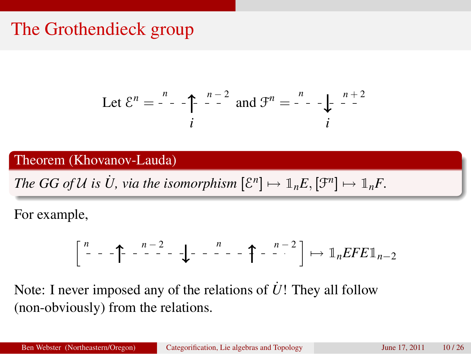# The Grothendieck group

Let 
$$
\mathcal{E}^n = \begin{bmatrix} \cdot & \cdot & \cdot \\ \cdot & \cdot & \cdot \\ \cdot & \cdot & \cdot \end{bmatrix}
$$
 and  $\mathcal{F}^n = \begin{bmatrix} \cdot & \cdot & \cdot \\ \cdot & \cdot & \cdot \\ \cdot & \cdot & \cdot \end{bmatrix}$ 

Theorem (Khovanov-Lauda)

*The GG of U is U, via the isomorphism*  $[\mathcal{E}^n] \mapsto \mathbb{1}_n E, [\mathcal{F}^n] \mapsto \mathbb{1}_n F$ .

For example,

$$
\left[\begin{array}{ccc} n & -1 \\ -1 & -1 \end{array}\right]\left[\begin{array}{ccc} -1 & -1 \\ -1 & -1 \end{array}\right]\left[\begin{array}{ccc} -1 & -1 \\ -1 & -1 \end{array}\right]\left[\begin{array}{ccc} -1 & -1 \\ -1 & -1 \end{array}\right]\left[\begin{array}{ccc} -1 & -1 \\ -1 & -1 \end{array}\right]\left[\begin{array}{ccc} -1 & -1 \\ -1 & -1 \end{array}\right]
$$

Note: I never imposed any of the relations of *U*! They all follow (non-obviously) from the relations.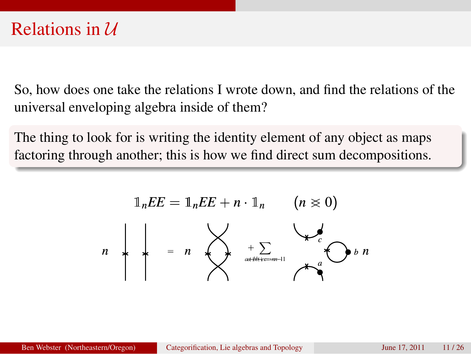So, how does one take the relations I wrote down, and find the relations of the universal enveloping algebra inside of them?

The thing to look for is writing the identity element of any object as maps factoring through another; this is how we find direct sum decompositions.

*n* <sup>=</sup> *n* <sup>+</sup> <sup>X</sup> *<sup>a</sup>*+*b*+*c*=*n*−<sup>1</sup> *a c <sup>b</sup> n* 1*nFE* = 1*nEF* + *n* · 1*<sup>n</sup>* (*n* > 0) *<sup>a</sup>*+*b*+*c*=−*n*−<sup>1</sup> *EF*1*nFE*−<sup>&</sup>lt;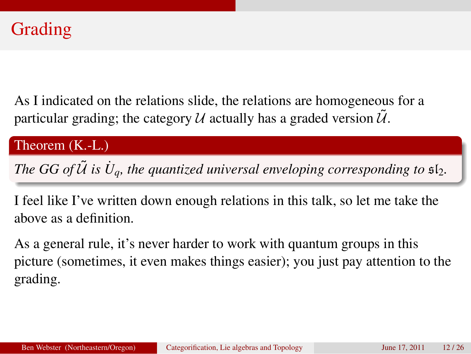As I indicated on the relations slide, the relations are homogeneous for a particular grading; the category  $U$  actually has a graded version  $U$ .

#### Theorem (K.-L.)

*The GG of*  $\tilde{U}$  is  $\dot{U}_q$ , the quantized universal enveloping corresponding to  $\mathfrak{sl}_2$ .

I feel like I've written down enough relations in this talk, so let me take the above as a definition.

As a general rule, it's never harder to work with quantum groups in this picture (sometimes, it even makes things easier); you just pay attention to the grading.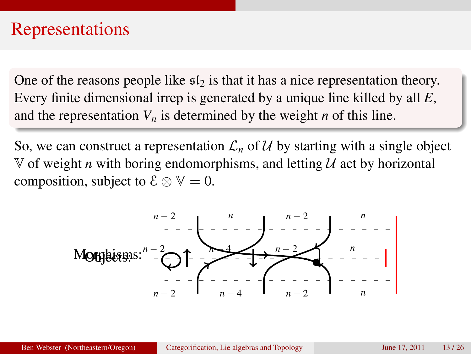### Representations

One of the reasons people like  $s_{2}$  is that it has a nice representation theory. Every finite dimensional irrep is generated by a unique line killed by all *E*, and the representation  $V_n$  is determined by the weight *n* of this line.

So, we can construct a representation  $\mathcal{L}_n$  of U by starting with a single object  $\mathbb V$  of weight *n* with boring endomorphisms, and letting  $\mathcal U$  act by horizontal composition, subject to  $\mathcal{E} \otimes \mathbb{V} = 0$ .

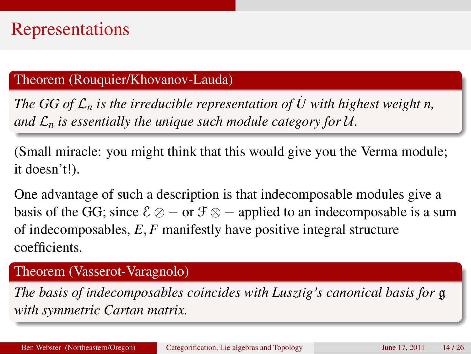# Representations

### Theorem (Rouquier/Khovanov-Lauda)

*The GG of*  $\mathcal{L}_n$  *is the irreducible representation of*  $\dot{U}$  with highest weight n, *and*  $\mathcal{L}_n$  *is essentially the unique such module category for U.* 

(Small miracle: you might think that this would give you the Verma module; it doesn't!).

One advantage of such a description is that indecomposable modules give a basis of the GG; since  $\mathcal{E} \otimes -$  or  $\mathcal{F} \otimes -$  applied to an indecomposable is a sum of indecomposables, *E*, *F* manifestly have positive integral structure coefficients.

#### Theorem (Vasserot-Varagnolo)

*The basis of indecomposables coincides with Lusztig's canonical basis for* g *with symmetric Cartan matrix.*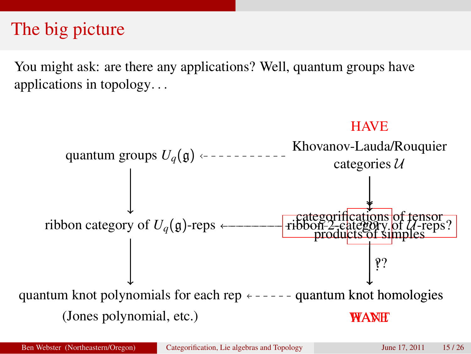# The big picture

You might ask: are there any applications? Well, quantum groups have applications in topology. . .

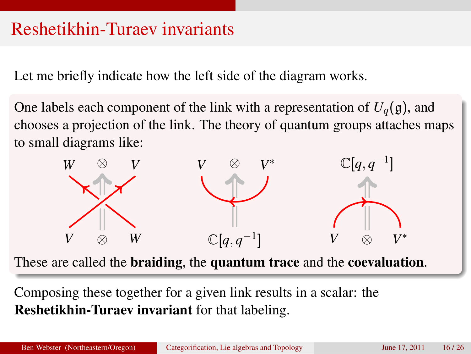# Reshetikhin-Turaev invariants

Let me briefly indicate how the left side of the diagram works.

One labels each component of the link with a representation of  $U_q(\mathfrak{g})$ , and chooses a projection of the link. The theory of quantum groups attaches maps to small diagrams like:



These are called the braiding, the quantum trace and the coevaluation.

Composing these together for a given link results in a scalar: the Reshetikhin-Turaev invariant for that labeling.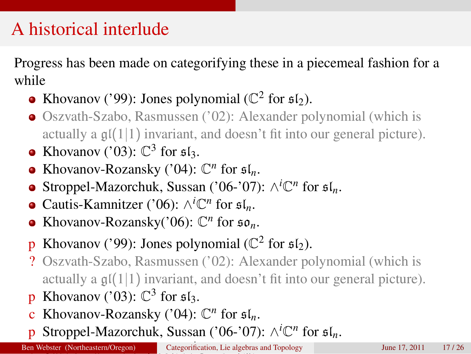# A historical interlude

Progress has been made on categorifying these in a piecemeal fashion for a while

- Khovanov ('99): Jones polynomial ( $\mathbb{C}^2$  for  $\mathfrak{sl}_2$ ).
- Oszvath-Szabo, Rasmussen ('02): Alexander polynomial (which is actually a  $\mathfrak{gl}(1|1)$  invariant, and doesn't fit into our general picture).
- Khovanov ('03):  $\mathbb{C}^3$  for  $\mathfrak{sl}_3$ .
- Khovanov-Rozansky ('04):  $\mathbb{C}^n$  for  $\mathfrak{sl}_n$ .
- Stroppel-Mazorchuk, Sussan ('06-'07):  $\wedge^{i} \mathbb{C}^{n}$  for  $\mathfrak{sl}_n$ .
- Cautis-Kamnitzer ('06):  $\wedge^i \mathbb{C}^n$  for  $\mathfrak{sl}_n$ .
- Khovanov-Rozansky('06):  $\mathbb{C}^n$  for  $\mathfrak{so}_n$ .
- **p** Khovanov ('99): Jones polynomial ( $\mathbb{C}^2$  for  $\mathfrak{sl}_2$ ).
- ? Oszvath-Szabo, Rasmussen ('02): Alexander polynomial (which is actually a  $\mathfrak{gl}(1|1)$  invariant, and doesn't fit into our general picture).
- **p** Khovanov ('03):  $\mathbb{C}^3$  for  $\mathfrak{sl}_3$ .
- c Khovanov-Rozansky ('04):  $\mathbb{C}^n$  for  $\mathfrak{sl}_n$ .
- **p** Stroppel-Mazorchuk, Sussan ('06-'07): ∧<sup>*i*</sup>C<sup>n</sup> for  $\mathfrak{sl}_n$ .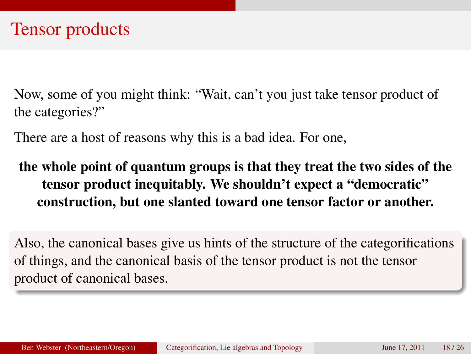Now, some of you might think: "Wait, can't you just take tensor product of the categories?"

There are a host of reasons why this is a bad idea. For one,

### the whole point of quantum groups is that they treat the two sides of the tensor product inequitably. We shouldn't expect a "democratic" construction, but one slanted toward one tensor factor or another.

Also, the canonical bases give us hints of the structure of the categorifications of things, and the canonical basis of the tensor product is not the tensor product of canonical bases.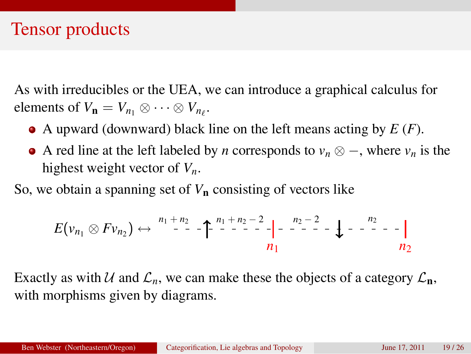### Tensor products

As with irreducibles or the UEA, we can introduce a graphical calculus for elements of  $V_{\mathbf{n}} = V_{n_1} \otimes \cdots \otimes V_{n_\ell}$ .

- A upward (downward) black line on the left means acting by *E* (*F*).
- A red line at the left labeled by *n* corresponds to *v<sup>n</sup>* ⊗ −, where *v<sup>n</sup>* is the highest weight vector of *Vn*.

So, we obtain a spanning set of *V*<sup>n</sup> consisting of vectors like

$$
E(v_{n_1} \otimes Fv_{n_2}) \leftrightarrow \begin{array}{c} n_1 + n_2 \\ -1 \end{array} - \uparrow \begin{array}{c} n_1 + n_2 - 2 \\ -1 \end{array} - \uparrow \begin{array}{c} n_2 - 2 \\ -1 \end{array} - \downarrow - \begin{array}{c} n_2 - 2 \\ -1 \end{array} - \uparrow \begin{array}{c} n_2 \\ n_2 \end{array}
$$

Exactly as with U and  $\mathcal{L}_n$ , we can make these the objects of a category  $\mathcal{L}_n$ , with morphisms given by diagrams.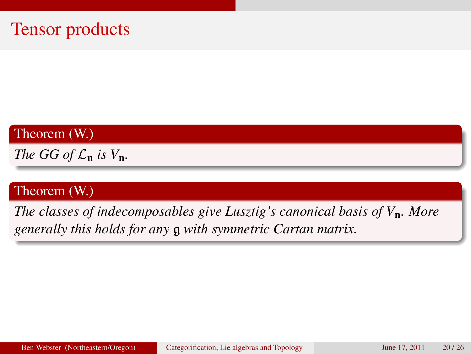Theorem (W.)

*The GG of*  $\mathcal{L}_n$  *is*  $V_n$ .

### Theorem (W.)

*The classes of indecomposables give Lusztig's canonical basis of V*n*. More generally this holds for any* g *with symmetric Cartan matrix.*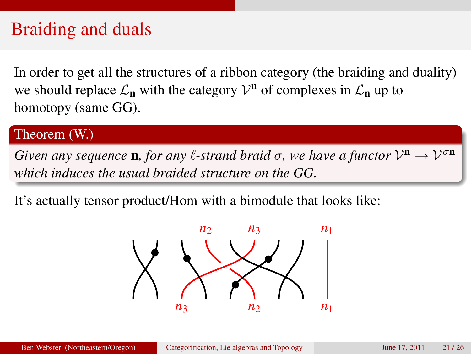# Braiding and duals

In order to get all the structures of a ribbon category (the braiding and duality) we should replace  $\mathcal{L}_n$  with the category  $\mathcal{V}^n$  of complexes in  $\mathcal{L}_n$  up to homotopy (same GG).

#### Theorem (W.)

*Given any sequence* **n**, for any  $\ell$ -strand braid  $\sigma$ , we have a functor  $\mathcal{V}^{\mathbf{n}} \to \mathcal{V}^{\sigma \mathbf{n}}$ *which induces the usual braided structure on the GG.*

It's actually tensor product/Hom with a bimodule that looks like:

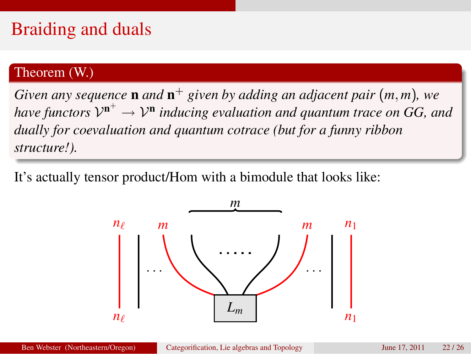# Braiding and duals

#### Theorem (W.)

*Given any sequence* n *and* n <sup>+</sup> *given by adding an adjacent pair* (*m*, *m*)*, we* have functors  $\mathcal{V}^{\mathbf{n}^+}\to\mathcal{V}^{\mathbf{n}}$  inducing evaluation and quantum trace on GG, and *dually for coevaluation and quantum cotrace (but for a funny ribbon structure!).*

It's actually tensor product/Hom with a bimodule that looks like:

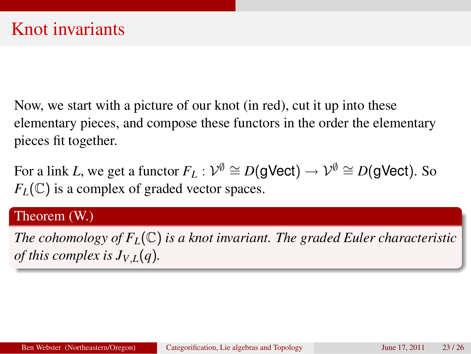Now, we start with a picture of our knot (in red), cut it up into these elementary pieces, and compose these functors in the order the elementary pieces fit together.

For a link *L*, we get a functor  $F_L: \mathcal{V}^\emptyset \cong D(\mathsf{gVect}) \to \mathcal{V}^\emptyset \cong D(\mathsf{gVect}).$  So  $F_L(\mathbb{C})$  is a complex of graded vector spaces.

### Theorem (W.)

*The cohomology of FL*(C) *is a knot invariant. The graded Euler characteristic of this complex is*  $J_{V,L}(q)$ *.*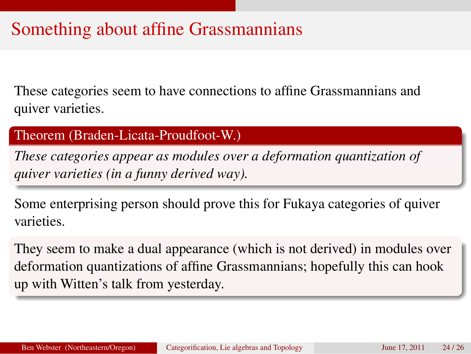# Something about affine Grassmannians

These categories seem to have connections to affine Grassmannians and quiver varieties.

Theorem (Braden-Licata-Proudfoot-W.)

*These categories appear as modules over a deformation quantization of quiver varieties (in a funny derived way).*

Some enterprising person should prove this for Fukaya categories of quiver varieties.

They seem to make a dual appearance (which is not derived) in modules over deformation quantizations of affine Grassmannians; hopefully this can hook up with Witten's talk from yesterday.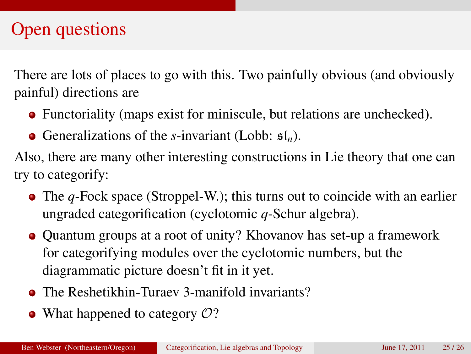# Open questions

There are lots of places to go with this. Two painfully obvious (and obviously painful) directions are

- Functoriality (maps exist for miniscule, but relations are unchecked).
- Generalizations of the *s*-invariant (Lobb:  $\mathfrak{sl}_n$ ).

Also, there are many other interesting constructions in Lie theory that one can try to categorify:

- The *q*-Fock space (Stroppel-W.); this turns out to coincide with an earlier ungraded categorification (cyclotomic *q*-Schur algebra).
- Quantum groups at a root of unity? Khovanov has set-up a framework for categorifying modules over the cyclotomic numbers, but the diagrammatic picture doesn't fit in it yet.
- **The Reshetikhin-Turaev 3-manifold invariants?**
- What happened to category  $O$ ?